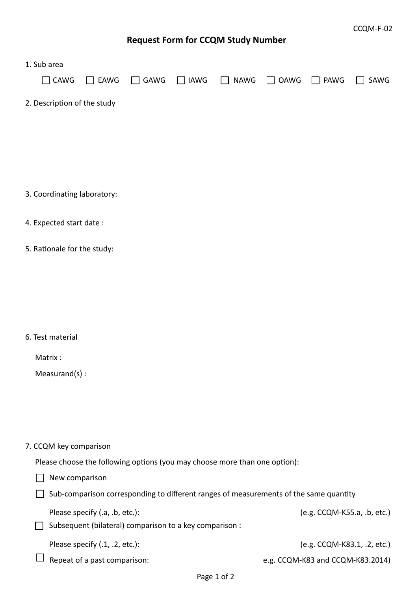## **Request Form for CCQM Study Number**

| 1. Sub area                                                                           |                                                                                           |             |             |             |             |                                  |      |  |  |
|---------------------------------------------------------------------------------------|-------------------------------------------------------------------------------------------|-------------|-------------|-------------|-------------|----------------------------------|------|--|--|
| $\Box$ CAWG                                                                           | $\Box$ EAWG                                                                               | $\Box$ GAWG | $\Box$ IAWG | <b>NAWG</b> | <b>OAWG</b> | PAWG                             | SAWG |  |  |
| 2. Description of the study                                                           |                                                                                           |             |             |             |             |                                  |      |  |  |
|                                                                                       |                                                                                           |             |             |             |             |                                  |      |  |  |
|                                                                                       |                                                                                           |             |             |             |             |                                  |      |  |  |
|                                                                                       |                                                                                           |             |             |             |             |                                  |      |  |  |
| 3. Coordinating laboratory:                                                           |                                                                                           |             |             |             |             |                                  |      |  |  |
| 4. Expected start date:                                                               |                                                                                           |             |             |             |             |                                  |      |  |  |
| 5. Rationale for the study:                                                           |                                                                                           |             |             |             |             |                                  |      |  |  |
|                                                                                       |                                                                                           |             |             |             |             |                                  |      |  |  |
|                                                                                       |                                                                                           |             |             |             |             |                                  |      |  |  |
|                                                                                       |                                                                                           |             |             |             |             |                                  |      |  |  |
| 6. Test material                                                                      |                                                                                           |             |             |             |             |                                  |      |  |  |
| Matrix:                                                                               |                                                                                           |             |             |             |             |                                  |      |  |  |
| $Measurand(s)$ :                                                                      |                                                                                           |             |             |             |             |                                  |      |  |  |
|                                                                                       |                                                                                           |             |             |             |             |                                  |      |  |  |
|                                                                                       |                                                                                           |             |             |             |             |                                  |      |  |  |
| 7. CCQM key comparison                                                                |                                                                                           |             |             |             |             |                                  |      |  |  |
| Please choose the following options (you may choose more than one option):            |                                                                                           |             |             |             |             |                                  |      |  |  |
| New comparison                                                                        |                                                                                           |             |             |             |             |                                  |      |  |  |
| Sub-comparison corresponding to different ranges of measurements of the same quantity |                                                                                           |             |             |             |             |                                  |      |  |  |
|                                                                                       | Please specify (.a, .b, etc.):<br>Subsequent (bilateral) comparison to a key comparison : |             |             |             |             | (e.g. CCQM-K55.a, .b, etc.)      |      |  |  |
|                                                                                       | Please specify (.1, .2, etc.):                                                            |             |             |             |             | (e.g. CCQM-K83.1, .2, etc.)      |      |  |  |
|                                                                                       | Repeat of a past comparison:                                                              |             |             |             |             | e.g. CCQM-K83 and CCQM-K83.2014) |      |  |  |